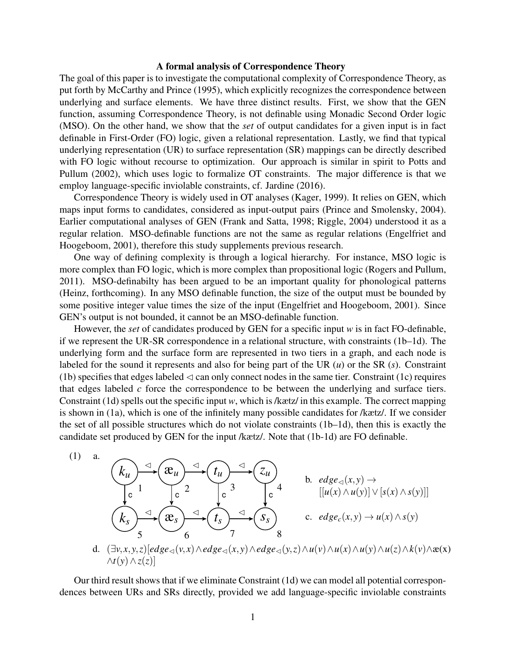## A formal analysis of Correspondence Theory

The goal of this paper is to investigate the computational complexity of Correspondence Theory, as put forth by McCarthy and Prince (1995), which explicitly recognizes the correspondence between underlying and surface elements. We have three distinct results. First, we show that the GEN function, assuming Correspondence Theory, is not definable using Monadic Second Order logic (MSO). On the other hand, we show that the *set* of output candidates for a given input is in fact definable in First-Order (FO) logic, given a relational representation. Lastly, we find that typical underlying representation (UR) to surface representation (SR) mappings can be directly described with FO logic without recourse to optimization. Our approach is similar in spirit to Potts and Pullum (2002), which uses logic to formalize OT constraints. The major difference is that we employ language-specific inviolable constraints, cf. Jardine (2016).

Correspondence Theory is widely used in OT analyses (Kager, 1999). It relies on GEN, which maps input forms to candidates, considered as input-output pairs (Prince and Smolensky, 2004). Earlier computational analyses of GEN (Frank and Satta, 1998; Riggle, 2004) understood it as a regular relation. MSO-definable functions are not the same as regular relations (Engelfriet and Hoogeboom, 2001), therefore this study supplements previous research.

One way of defining complexity is through a logical hierarchy. For instance, MSO logic is more complex than FO logic, which is more complex than propositional logic (Rogers and Pullum, 2011). MSO-definabilty has been argued to be an important quality for phonological patterns (Heinz, forthcoming). In any MSO definable function, the size of the output must be bounded by some positive integer value times the size of the input (Engelfriet and Hoogeboom, 2001). Since GEN's output is not bounded, it cannot be an MSO-definable function.

However, the *set* of candidates produced by GEN for a specific input *w* is in fact FO-definable, if we represent the UR-SR correspondence in a relational structure, with constraints (1b–1d). The underlying form and the surface form are represented in two tiers in a graph, and each node is labeled for the sound it represents and also for being part of the UR (*u*) or the SR (*s*). Constraint (1b) specifies that edges labeled  $\triangleleft$  can only connect nodes in the same tier. Constraint (1c) requires that edges labeled *c* force the correspondence to be between the underlying and surface tiers. Constraint (1d) spells out the specific input *w*, which is /kætz/ in this example. The correct mapping is shown in (1a), which is one of the infinitely many possible candidates for /kætz/. If we consider the set of all possible structures which do not violate constraints (1b–1d), then this is exactly the candidate set produced by GEN for the input /kætz/. Note that (1b-1d) are FO definable.



Our third result shows that if we eliminate Constraint (1d) we can model all potential correspondences between URs and SRs directly, provided we add language-specific inviolable constraints